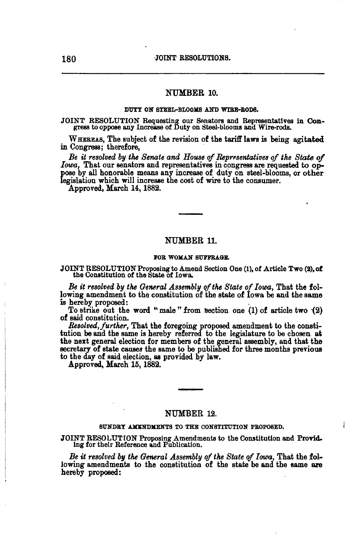## NUMBER 10.

### DUTY ON STEEL-BLOOMS AND WIRE-BODS.

JOINT RESOLUTION Requesting our Senators and Representatives in Congress to oppose any Increase of Duty on Steel-blooms and Wire-rods.

WHEREAS, The subject of the revision of the tariff laws is being agitated in Congress; therefore,

Be it resolved by the Senate and House of Representatives of the State of *Iowa,* That our senators and representatives in congress are requested to oppose by all honorable means any increase of duty on steel-blooms, or other legislation which will increase the cost of wire to the consumer.

Approved, March 14, 1882.

## NUMBER 11.

### FOR WOMAN SUFFRAGE.

# JOINT RESOLUTION Proposing to Amend Section One (1), of Article Two (2), of the Constitution of the State of Iowa.

Be it resolved by the General Assembly of the State of Iowa, That the following amendment to the constitution of the state of Iowa be and the same

is hereby proposed: To strike out the word "male" from section one  $(1)$  of article two  $(2)$ of said constitution.

*Resolved,further,* That the foregoing proposed amendment to the constitution be and the same is hereby referred to the legislature to be chosen at the next general election for members of the general assembly, and that the secretary of state causes the same to be published for three months previous to the day of said election, as provided by law.

Approved, March 15, 1882.

## NUMBER 12.

#### SUNDRY AMENDMENTS TO THE CONSTITUTION PROPOSED.

JOINT RESOLUTION Proposing Amendments to the Constitution and Provid. ing for their Reference and Publication.

*Be it resolved* by *the General Assembly* oj *the State* of *Iowa,* That the following amendments to the constitution of the state be and the same are hereby proposed:

 $D_{\rm eff}$  by  $C_{\rm eff}$  by  $C_{\rm eff}$